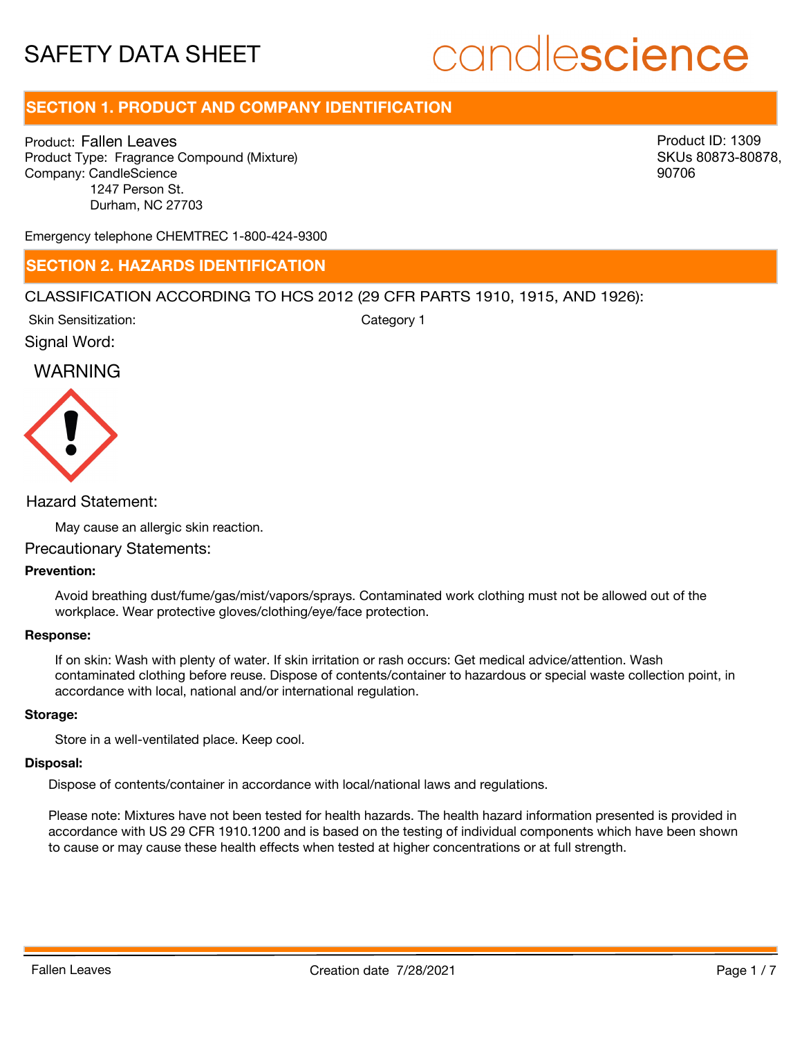# candlescience

# **SECTION 1. PRODUCT AND COMPANY IDENTIFICATION**

Product: Fallen Leaves Product Type: Fragrance Compound (Mixture) Company: CandleScience 1247 Person St. Durham, NC 27703

Product ID: 1309 SKUs 80873-80878, 90706

Emergency telephone CHEMTREC 1-800-424-9300

## **SECTION 2. HAZARDS IDENTIFICATION**

#### CLASSIFICATION ACCORDING TO HCS 2012 (29 CFR PARTS 1910, 1915, AND 1926):

Skin Sensitization:

Category 1

# Signal Word:

# WARNING



#### Hazard Statement:

May cause an allergic skin reaction.

#### Precautionary Statements:

#### **Prevention:**

Avoid breathing dust/fume/gas/mist/vapors/sprays. Contaminated work clothing must not be allowed out of the workplace. Wear protective gloves/clothing/eye/face protection.

#### **Response:**

If on skin: Wash with plenty of water. If skin irritation or rash occurs: Get medical advice/attention. Wash contaminated clothing before reuse. Dispose of contents/container to hazardous or special waste collection point, in accordance with local, national and/or international regulation.

#### **Storage:**

Store in a well-ventilated place. Keep cool.

#### **Disposal:**

Dispose of contents/container in accordance with local/national laws and regulations.

Please note: Mixtures have not been tested for health hazards. The health hazard information presented is provided in accordance with US 29 CFR 1910.1200 and is based on the testing of individual components which have been shown to cause or may cause these health effects when tested at higher concentrations or at full strength.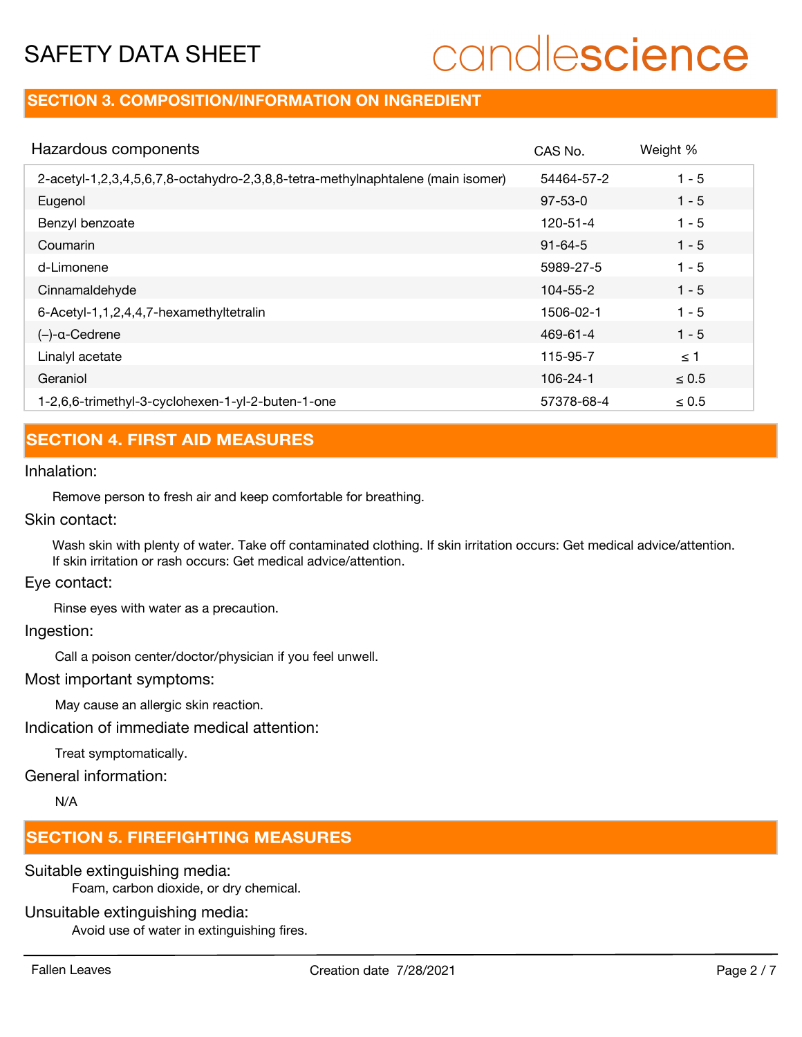# candlescience

# **SECTION 3. COMPOSITION/INFORMATION ON INGREDIENT**

| Hazardous components                                                            | CAS No.        | Weight %   |
|---------------------------------------------------------------------------------|----------------|------------|
| 2-acetyl-1,2,3,4,5,6,7,8-octahydro-2,3,8,8-tetra-methylnaphtalene (main isomer) | 54464-57-2     | $1 - 5$    |
| Eugenol                                                                         | $97 - 53 - 0$  | $1 - 5$    |
| Benzyl benzoate                                                                 | $120 - 51 - 4$ | $1 - 5$    |
| Coumarin                                                                        | $91 - 64 - 5$  | $1 - 5$    |
| d-Limonene                                                                      | 5989-27-5      | $1 - 5$    |
| Cinnamaldehyde                                                                  | $104 - 55 - 2$ | $1 - 5$    |
| 6-Acetyl-1,1,2,4,4,7-hexamethyltetralin                                         | 1506-02-1      | $1 - 5$    |
| $(-)$ -a-Cedrene                                                                | 469-61-4       | $1 - 5$    |
| Linalyl acetate                                                                 | 115-95-7       | $\leq$ 1   |
| Geraniol                                                                        | 106-24-1       | $\leq 0.5$ |
| 1-2,6,6-trimethyl-3-cyclohexen-1-yl-2-buten-1-one                               | 57378-68-4     | $\leq 0.5$ |

# **SECTION 4. FIRST AID MEASURES**

#### Inhalation:

Remove person to fresh air and keep comfortable for breathing.

#### Skin contact:

Wash skin with plenty of water. Take off contaminated clothing. If skin irritation occurs: Get medical advice/attention. If skin irritation or rash occurs: Get medical advice/attention.

#### Eye contact:

Rinse eyes with water as a precaution.

#### Ingestion:

Call a poison center/doctor/physician if you feel unwell.

#### Most important symptoms:

May cause an allergic skin reaction.

Indication of immediate medical attention:

Treat symptomatically.

### General information:

N/A

# **SECTION 5. FIREFIGHTING MEASURES**

#### Suitable extinguishing media:

Foam, carbon dioxide, or dry chemical.

#### Unsuitable extinguishing media:

Avoid use of water in extinguishing fires.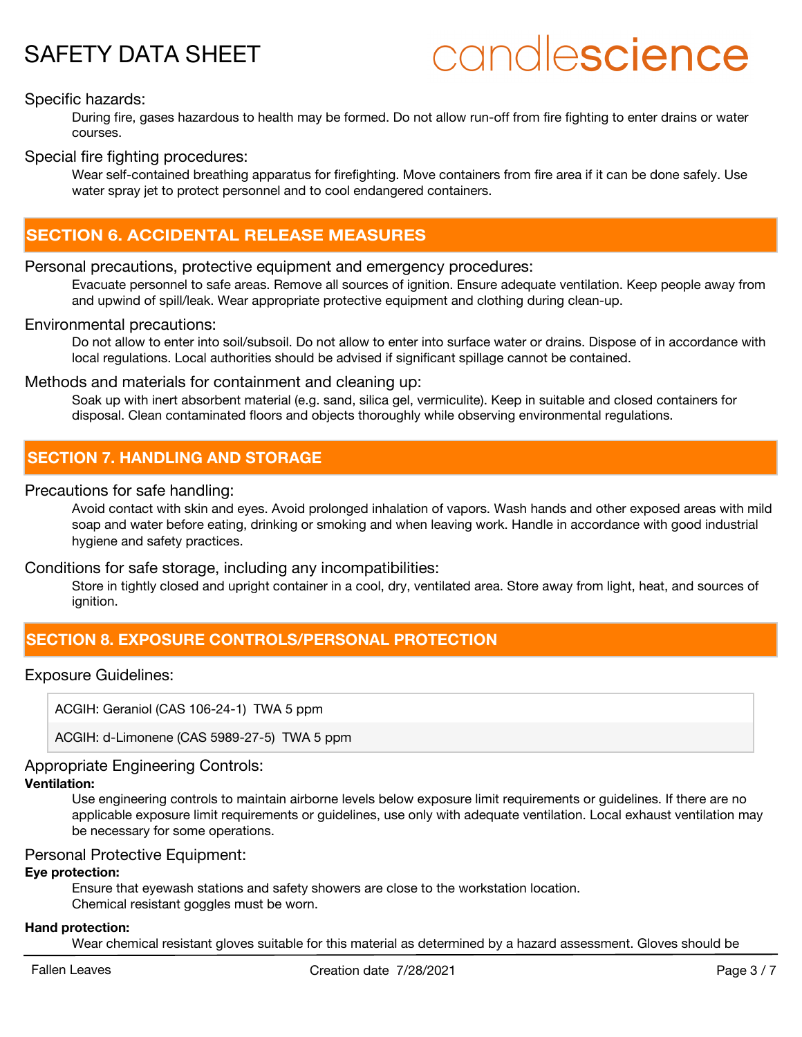# candlescience

### Specific hazards:

During fire, gases hazardous to health may be formed. Do not allow run-off from fire fighting to enter drains or water courses.

#### Special fire fighting procedures:

Wear self-contained breathing apparatus for firefighting. Move containers from fire area if it can be done safely. Use water spray jet to protect personnel and to cool endangered containers.

## **SECTION 6. ACCIDENTAL RELEASE MEASURES**

#### Personal precautions, protective equipment and emergency procedures:

Evacuate personnel to safe areas. Remove all sources of ignition. Ensure adequate ventilation. Keep people away from and upwind of spill/leak. Wear appropriate protective equipment and clothing during clean-up.

#### Environmental precautions:

Do not allow to enter into soil/subsoil. Do not allow to enter into surface water or drains. Dispose of in accordance with local regulations. Local authorities should be advised if significant spillage cannot be contained.

#### Methods and materials for containment and cleaning up:

Soak up with inert absorbent material (e.g. sand, silica gel, vermiculite). Keep in suitable and closed containers for disposal. Clean contaminated floors and objects thoroughly while observing environmental regulations.

## **SECTION 7. HANDLING AND STORAGE**

#### Precautions for safe handling:

Avoid contact with skin and eyes. Avoid prolonged inhalation of vapors. Wash hands and other exposed areas with mild soap and water before eating, drinking or smoking and when leaving work. Handle in accordance with good industrial hygiene and safety practices.

Conditions for safe storage, including any incompatibilities:

Store in tightly closed and upright container in a cool, dry, ventilated area. Store away from light, heat, and sources of ianition.

# **SECTION 8. EXPOSURE CONTROLS/PERSONAL PROTECTION**

#### Exposure Guidelines:

ACGIH: Geraniol (CAS 106-24-1) TWA 5 ppm

ACGIH: d-Limonene (CAS 5989-27-5) TWA 5 ppm

#### Appropriate Engineering Controls:

#### **Ventilation:**

Use engineering controls to maintain airborne levels below exposure limit requirements or guidelines. If there are no applicable exposure limit requirements or guidelines, use only with adequate ventilation. Local exhaust ventilation may be necessary for some operations.

#### Personal Protective Equipment:

#### **Eye protection:**

Ensure that eyewash stations and safety showers are close to the workstation location. Chemical resistant goggles must be worn.

#### **Hand protection:**

Wear chemical resistant gloves suitable for this material as determined by a hazard assessment. Gloves should be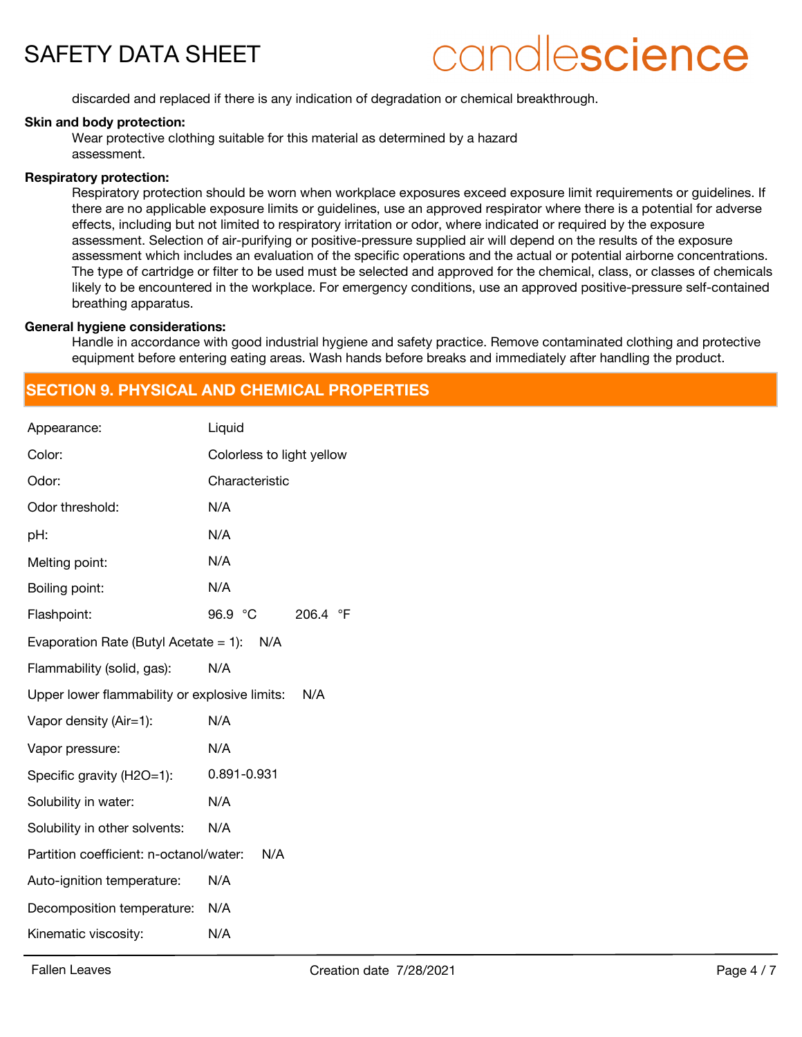# candlescience

discarded and replaced if there is any indication of degradation or chemical breakthrough.

#### **Skin and body protection:**

Wear protective clothing suitable for this material as determined by a hazard assessment.

#### **Respiratory protection:**

Respiratory protection should be worn when workplace exposures exceed exposure limit requirements or guidelines. If there are no applicable exposure limits or guidelines, use an approved respirator where there is a potential for adverse effects, including but not limited to respiratory irritation or odor, where indicated or required by the exposure assessment. Selection of air-purifying or positive-pressure supplied air will depend on the results of the exposure assessment which includes an evaluation of the specific operations and the actual or potential airborne concentrations. The type of cartridge or filter to be used must be selected and approved for the chemical, class, or classes of chemicals likely to be encountered in the workplace. For emergency conditions, use an approved positive-pressure self-contained breathing apparatus.

#### **General hygiene considerations:**

Handle in accordance with good industrial hygiene and safety practice. Remove contaminated clothing and protective equipment before entering eating areas. Wash hands before breaks and immediately after handling the product.

# **SECTION 9. PHYSICAL AND CHEMICAL PROPERTIES**

| Appearance:                                   | Liquid                    |
|-----------------------------------------------|---------------------------|
| Color:                                        | Colorless to light yellow |
| Odor:                                         | Characteristic            |
| Odor threshold:                               | N/A                       |
| pH:                                           | N/A                       |
| Melting point:                                | N/A                       |
| Boiling point:                                | N/A                       |
| Flashpoint:                                   | 96.9 °C<br>206.4 °F       |
| Evaporation Rate (Butyl Acetate = 1): $N/A$   |                           |
| Flammability (solid, gas):                    | N/A                       |
| Upper lower flammability or explosive limits: | N/A                       |
| Vapor density (Air=1):                        | N/A                       |
| Vapor pressure:                               | N/A                       |
| Specific gravity (H2O=1):                     | 0.891-0.931               |
| Solubility in water:                          | N/A                       |
| Solubility in other solvents:                 | N/A                       |
| Partition coefficient: n-octanol/water:       | N/A                       |
| Auto-ignition temperature:                    | N/A                       |
| Decomposition temperature:                    | N/A                       |
| Kinematic viscosity:                          | N/A                       |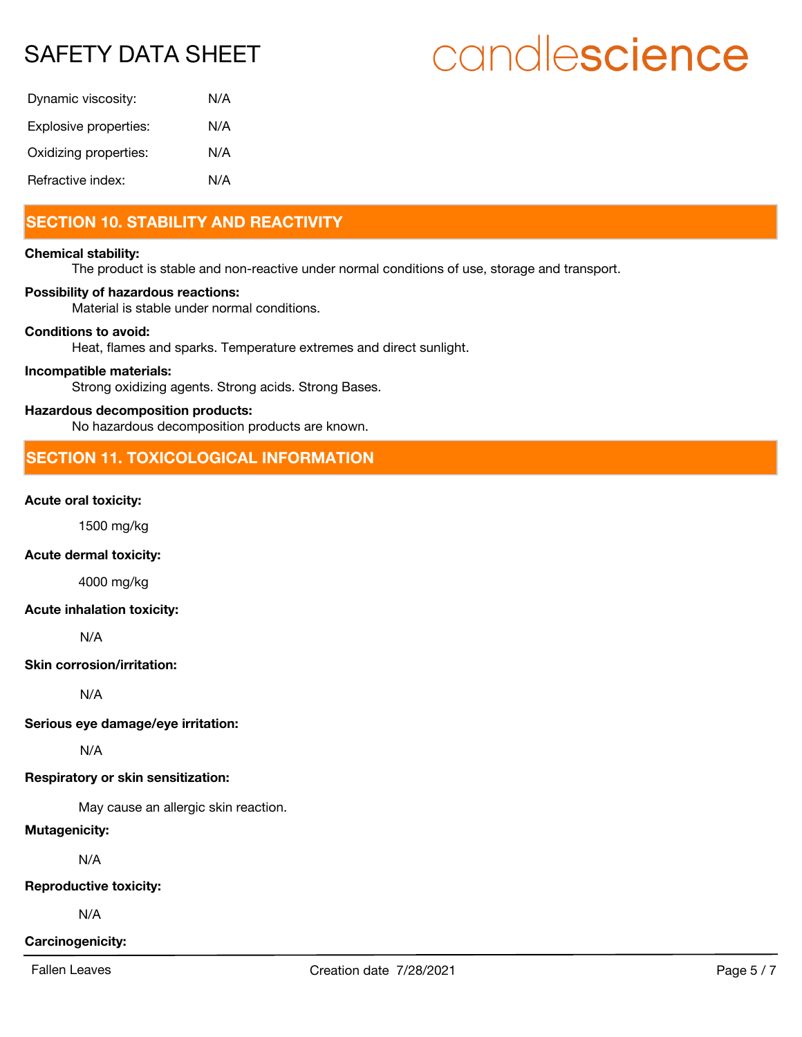# candlescience

| Dynamic viscosity:    | N/A |
|-----------------------|-----|
| Explosive properties: | N/A |
| Oxidizing properties: | N/A |
| Refractive index:     | N/A |

# **SECTION 10. STABILITY AND REACTIVITY**

#### **Chemical stability:**

The product is stable and non-reactive under normal conditions of use, storage and transport.

#### **Possibility of hazardous reactions:**

Material is stable under normal conditions.

#### **Conditions to avoid:**

Heat, flames and sparks. Temperature extremes and direct sunlight.

#### **Incompatible materials:**

Strong oxidizing agents. Strong acids. Strong Bases.

#### **Hazardous decomposition products:**

No hazardous decomposition products are known.

# **SECTION 11. TOXICOLOGICAL INFORMATION**

#### **Acute oral toxicity:**

1500 mg/kg

#### **Acute dermal toxicity:**

4000 mg/kg

#### **Acute inhalation toxicity:**

N/A

#### **Skin corrosion/irritation:**

N/A

## **Serious eye damage/eye irritation:**

N/A

### **Respiratory or skin sensitization:**

May cause an allergic skin reaction.

## **Mutagenicity:**

N/A

### **Reproductive toxicity:**

N/A

### **Carcinogenicity:**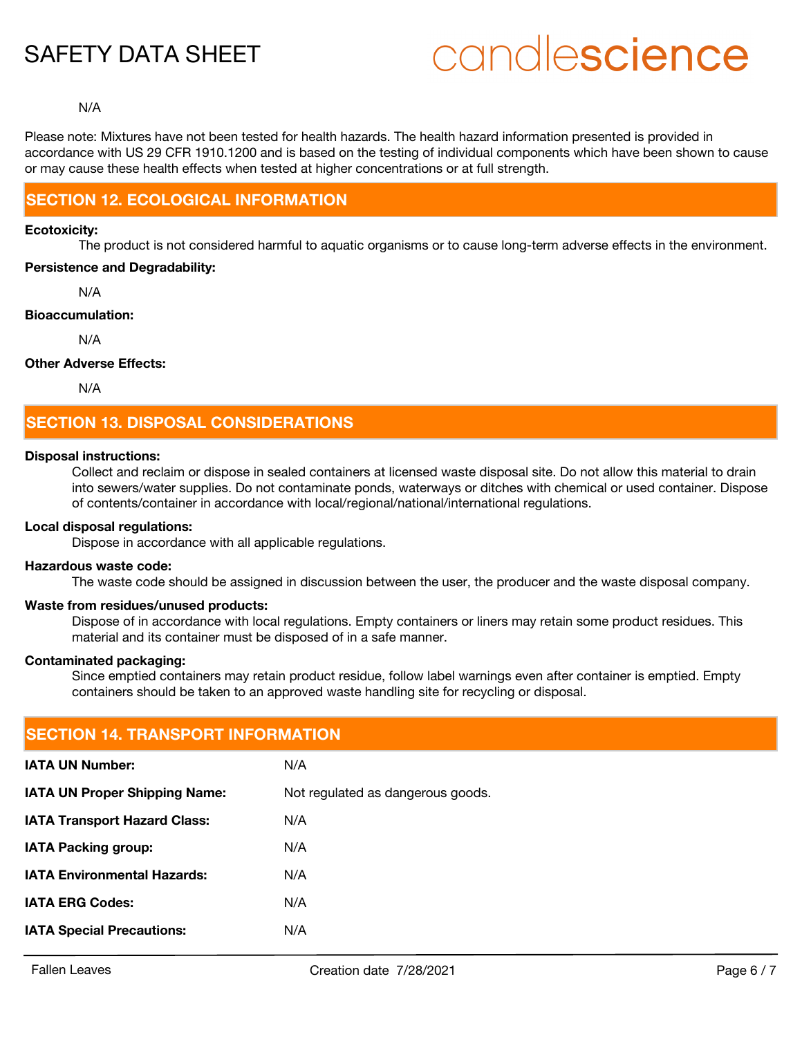# candlescience

#### N/A

Please note: Mixtures have not been tested for health hazards. The health hazard information presented is provided in accordance with US 29 CFR 1910.1200 and is based on the testing of individual components which have been shown to cause or may cause these health effects when tested at higher concentrations or at full strength.

### **SECTION 12. ECOLOGICAL INFORMATION**

#### **Ecotoxicity:**

The product is not considered harmful to aquatic organisms or to cause long-term adverse effects in the environment.

#### **Persistence and Degradability:**

N/A

#### **Bioaccumulation:**

N/A

#### **Other Adverse Effects:**

N/A

# **SECTION 13. DISPOSAL CONSIDERATIONS**

#### **Disposal instructions:**

Collect and reclaim or dispose in sealed containers at licensed waste disposal site. Do not allow this material to drain into sewers/water supplies. Do not contaminate ponds, waterways or ditches with chemical or used container. Dispose of contents/container in accordance with local/regional/national/international regulations.

#### **Local disposal regulations:**

Dispose in accordance with all applicable regulations.

#### **Hazardous waste code:**

The waste code should be assigned in discussion between the user, the producer and the waste disposal company.

#### **Waste from residues/unused products:**

Dispose of in accordance with local regulations. Empty containers or liners may retain some product residues. This material and its container must be disposed of in a safe manner.

#### **Contaminated packaging:**

Since emptied containers may retain product residue, follow label warnings even after container is emptied. Empty containers should be taken to an approved waste handling site for recycling or disposal.

| <b>SECTION 14. TRANSPORT INFORMATION</b> |                                   |  |  |
|------------------------------------------|-----------------------------------|--|--|
| <b>IATA UN Number:</b>                   | N/A                               |  |  |
| <b>IATA UN Proper Shipping Name:</b>     | Not regulated as dangerous goods. |  |  |
| <b>IATA Transport Hazard Class:</b>      | N/A                               |  |  |
| <b>IATA Packing group:</b>               | N/A                               |  |  |
| <b>IATA Environmental Hazards:</b>       | N/A                               |  |  |
| <b>IATA ERG Codes:</b>                   | N/A                               |  |  |
| <b>IATA Special Precautions:</b>         | N/A                               |  |  |